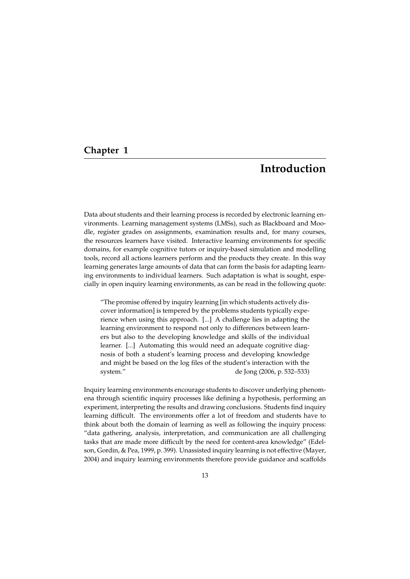# **Chapter 1**

# **Introduction**

Data about students and their learning process is recorded by electronic learning environments. Learning management systems (LMSs), such as Blackboard and Moodle, register grades on assignments, examination results and, for many courses, the resources learners have visited. Interactive learning environments for specific domains, for example cognitive tutors or inquiry-based simulation and modelling tools, record all actions learners perform and the products they create. In this way learning generates large amounts of data that can form the basis for adapting learning environments to individual learners. Such adaptation is what is sought, especially in open inquiry learning environments, as can be read in the following quote:

"The promise offered by inquiry learning [in which students actively discover information] is tempered by the problems students typically experience when using this approach. [...] A challenge lies in adapting the learning environment to respond not only to differences between learners but also to the developing knowledge and skills of the individual learner. [...] Automating this would need an adequate cognitive diagnosis of both a student's learning process and developing knowledge and might be based on the log files of the student's interaction with the system." de Jong (2006, p. 532–533)

Inquiry learning environments encourage students to discover underlying phenomena through scientific inquiry processes like defining a hypothesis, performing an experiment, interpreting the results and drawing conclusions. Students find inquiry learning difficult. The environments offer a lot of freedom and students have to think about both the domain of learning as well as following the inquiry process: "data gathering, analysis, interpretation, and communication are all challenging tasks that are made more difficult by the need for content-area knowledge" (Edelson, Gordin, & Pea, 1999, p. 399). Unassisted inquiry learning is not effective (Mayer, 2004) and inquiry learning environments therefore provide guidance and scaffolds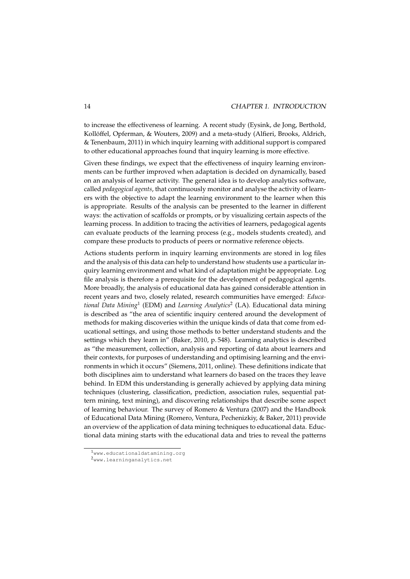to increase the effectiveness of learning. A recent study (Eysink, de Jong, Berthold, Kollöffel, Opferman, & Wouters, 2009) and a meta-study (Alfieri, Brooks, Aldrich, & Tenenbaum, 2011) in which inquiry learning with additional support is compared to other educational approaches found that inquiry learning is more effective.

Given these findings, we expect that the effectiveness of inquiry learning environments can be further improved when adaptation is decided on dynamically, based on an analysis of learner activity. The general idea is to develop analytics software, called *pedagogical agents*, that continuously monitor and analyse the activity of learners with the objective to adapt the learning environment to the learner when this is appropriate. Results of the analysis can be presented to the learner in different ways: the activation of scaffolds or prompts, or by visualizing certain aspects of the learning process. In addition to tracing the activities of learners, pedagogical agents can evaluate products of the learning process (e.g., models students created), and compare these products to products of peers or normative reference objects.

Actions students perform in inquiry learning environments are stored in log files and the analysis of this data can help to understand how students use a particular inquiry learning environment and what kind of adaptation might be appropriate. Log file analysis is therefore a prerequisite for the development of pedagogical agents. More broadly, the analysis of educational data has gained considerable attention in recent years and two, closely related, research communities have emerged: *Educational Data Mining*<sup>1</sup> (EDM) and *Learning Analytics*<sup>2</sup> (LA). Educational data mining is described as "the area of scientific inquiry centered around the development of methods for making discoveries within the unique kinds of data that come from educational settings, and using those methods to better understand students and the settings which they learn in" (Baker, 2010, p. 548). Learning analytics is described as "the measurement, collection, analysis and reporting of data about learners and their contexts, for purposes of understanding and optimising learning and the environments in which it occurs" (Siemens, 2011, online). These definitions indicate that both disciplines aim to understand what learners do based on the traces they leave behind. In EDM this understanding is generally achieved by applying data mining techniques (clustering, classification, prediction, association rules, sequential pattern mining, text mining), and discovering relationships that describe some aspect of learning behaviour. The survey of Romero & Ventura (2007) and the Handbook of Educational Data Mining (Romero, Ventura, Pechenizkiy, & Baker, 2011) provide an overview of the application of data mining techniques to educational data. Eductional data mining starts with the educational data and tries to reveal the patterns

<sup>1</sup>www.educationaldatamining.org

<sup>2</sup>www.learninganalytics.net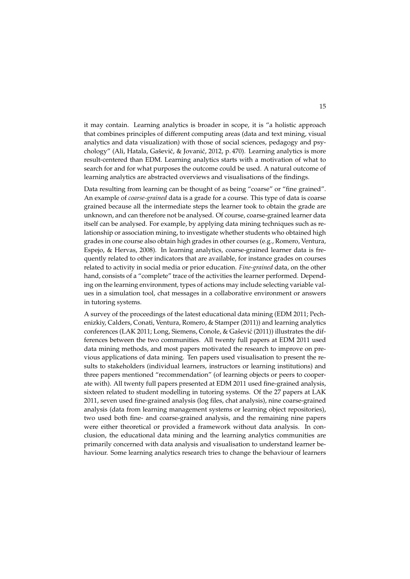it may contain. Learning analytics is broader in scope, it is "a holistic approach that combines principles of different computing areas (data and text mining, visual analytics and data visualization) with those of social sciences, pedagogy and psychology" (Ali, Hatala, Gašević, & Jovanić, 2012, p. 470). Learning analytics is more result-centered than EDM. Learning analytics starts with a motivation of what to search for and for what purposes the outcome could be used. A natural outcome of learning analytics are abstracted overviews and visualisations of the findings.

Data resulting from learning can be thought of as being "coarse" or "fine grained". An example of *coarse-grained* data is a grade for a course. This type of data is coarse grained because all the intermediate steps the learner took to obtain the grade are unknown, and can therefore not be analysed. Of course, coarse-grained learner data itself can be analysed. For example, by applying data mining techniques such as relationship or association mining, to investigate whether students who obtained high grades in one course also obtain high grades in other courses (e.g., Romero, Ventura, Espejo, & Hervas, 2008). In learning analytics, coarse-grained learner data is frequently related to other indicators that are available, for instance grades on courses related to activity in social media or prior education. *Fine-grained* data, on the other hand, consists of a "complete" trace of the activities the learner performed. Depending on the learning environment, types of actions may include selecting variable values in a simulation tool, chat messages in a collaborative environment or answers in tutoring systems.

A survey of the proceedings of the latest educational data mining (EDM 2011; Pechenizkiy, Calders, Conati, Ventura, Romero, & Stamper (2011)) and learning analytics conferences (LAK 2011; Long, Siemens, Conole, & Gašević (2011)) illustrates the differences between the two communities. All twenty full papers at EDM 2011 used data mining methods, and most papers motivated the research to improve on previous applications of data mining. Ten papers used visualisation to present the results to stakeholders (individual learners, instructors or learning institutions) and three papers mentioned "recommendation" (of learning objects or peers to cooperate with). All twenty full papers presented at EDM 2011 used fine-grained analysis, sixteen related to student modelling in tutoring systems. Of the 27 papers at LAK 2011, seven used fine-grained analysis (log files, chat analysis), nine coarse-grained analysis (data from learning management systems or learning object repositories), two used both fine- and coarse-grained analysis, and the remaining nine papers were either theoretical or provided a framework without data analysis. In conclusion, the educational data mining and the learning analytics communities are primarily concerned with data analysis and visualisation to understand learner behaviour. Some learning analytics research tries to change the behaviour of learners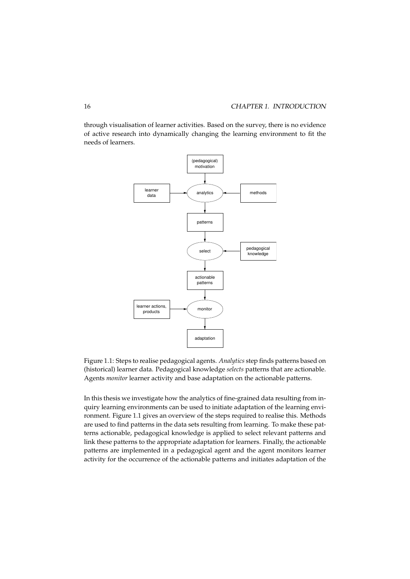through visualisation of learner activities. Based on the survey, there is no evidence of active research into dynamically changing the learning environment to fit the needs of learners.



Figure 1.1: Steps to realise pedagogical agents. *Analytics* step finds patterns based on (historical) learner data. Pedagogical knowledge *selects* patterns that are actionable. Agents *monitor* learner activity and base adaptation on the actionable patterns.

In this thesis we investigate how the analytics of fine-grained data resulting from inquiry learning environments can be used to initiate adaptation of the learning environment. Figure 1.1 gives an overview of the steps required to realise this. Methods are used to find patterns in the data sets resulting from learning. To make these patterns actionable, pedagogical knowledge is applied to select relevant patterns and link these patterns to the appropriate adaptation for learners. Finally, the actionable patterns are implemented in a pedagogical agent and the agent monitors learner activity for the occurrence of the actionable patterns and initiates adaptation of the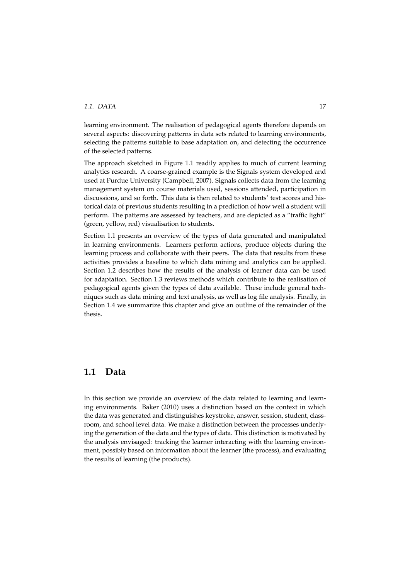#### *1.1. DATA* 17

learning environment. The realisation of pedagogical agents therefore depends on several aspects: discovering patterns in data sets related to learning environments, selecting the patterns suitable to base adaptation on, and detecting the occurrence of the selected patterns.

The approach sketched in Figure 1.1 readily applies to much of current learning analytics research. A coarse-grained example is the Signals system developed and used at Purdue University (Campbell, 2007). Signals collects data from the learning management system on course materials used, sessions attended, participation in discussions, and so forth. This data is then related to students' test scores and historical data of previous students resulting in a prediction of how well a student will perform. The patterns are assessed by teachers, and are depicted as a "traffic light" (green, yellow, red) visualisation to students.

Section 1.1 presents an overview of the types of data generated and manipulated in learning environments. Learners perform actions, produce objects during the learning process and collaborate with their peers. The data that results from these activities provides a baseline to which data mining and analytics can be applied. Section 1.2 describes how the results of the analysis of learner data can be used for adaptation. Section 1.3 reviews methods which contribute to the realisation of pedagogical agents given the types of data available. These include general techniques such as data mining and text analysis, as well as log file analysis. Finally, in Section 1.4 we summarize this chapter and give an outline of the remainder of the thesis.

# **1.1 Data**

In this section we provide an overview of the data related to learning and learning environments. Baker (2010) uses a distinction based on the context in which the data was generated and distinguishes keystroke, answer, session, student, classroom, and school level data. We make a distinction between the processes underlying the generation of the data and the types of data. This distinction is motivated by the analysis envisaged: tracking the learner interacting with the learning environment, possibly based on information about the learner (the process), and evaluating the results of learning (the products).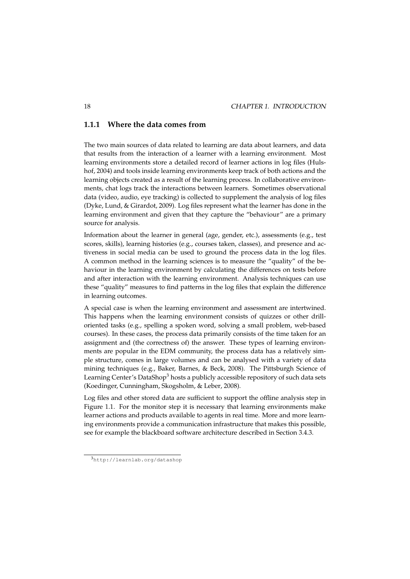# **1.1.1 Where the data comes from**

The two main sources of data related to learning are data about learners, and data that results from the interaction of a learner with a learning environment. Most learning environments store a detailed record of learner actions in log files (Hulshof, 2004) and tools inside learning environments keep track of both actions and the learning objects created as a result of the learning process. In collaborative environments, chat logs track the interactions between learners. Sometimes observational data (video, audio, eye tracking) is collected to supplement the analysis of log files (Dyke, Lund, & Girardot, 2009). Log files represent what the learner has done in the learning environment and given that they capture the "behaviour" are a primary source for analysis.

Information about the learner in general (age, gender, etc.), assessments (e.g., test scores, skills), learning histories (e.g., courses taken, classes), and presence and activeness in social media can be used to ground the process data in the log files. A common method in the learning sciences is to measure the "quality" of the behaviour in the learning environment by calculating the differences on tests before and after interaction with the learning environment. Analysis techniques can use these "quality" measures to find patterns in the log files that explain the difference in learning outcomes.

A special case is when the learning environment and assessment are intertwined. This happens when the learning environment consists of quizzes or other drilloriented tasks (e.g., spelling a spoken word, solving a small problem, web-based courses). In these cases, the process data primarily consists of the time taken for an assignment and (the correctness of) the answer. These types of learning environments are popular in the EDM community, the process data has a relatively simple structure, comes in large volumes and can be analysed with a variety of data mining techniques (e.g., Baker, Barnes, & Beck, 2008). The Pittsburgh Science of Learning Center's DataShop<sup>3</sup> hosts a publicly accessible repository of such data sets (Koedinger, Cunningham, Skogsholm, & Leber, 2008).

Log files and other stored data are sufficient to support the offline analysis step in Figure 1.1. For the monitor step it is necessary that learning environments make learner actions and products available to agents in real time. More and more learning environments provide a communication infrastructure that makes this possible, see for example the blackboard software architecture described in Section 3.4.3.

<sup>3</sup>http://learnlab.org/datashop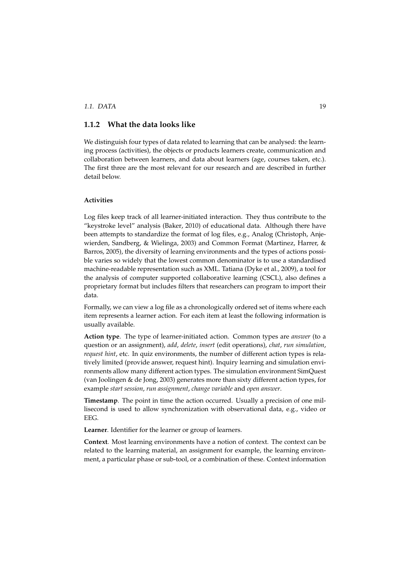### *1.1. DATA* 19

# **1.1.2 What the data looks like**

We distinguish four types of data related to learning that can be analysed: the learning process (activities), the objects or products learners create, communication and collaboration between learners, and data about learners (age, courses taken, etc.). The first three are the most relevant for our research and are described in further detail below.

#### **Activities**

Log files keep track of all learner-initiated interaction. They thus contribute to the "keystroke level" analysis (Baker, 2010) of educational data. Although there have been attempts to standardize the format of log files, e.g., Analog (Christoph, Anjewierden, Sandberg, & Wielinga, 2003) and Common Format (Martinez, Harrer, & Barros, 2005), the diversity of learning environments and the types of actions possible varies so widely that the lowest common denominator is to use a standardised machine-readable representation such as XML. Tatiana (Dyke et al., 2009), a tool for the analysis of computer supported collaborative learning (CSCL), also defines a proprietary format but includes filters that researchers can program to import their data.

Formally, we can view a log file as a chronologically ordered set of items where each item represents a learner action. For each item at least the following information is usually available.

**Action type**. The type of learner-initiated action. Common types are *answer* (to a question or an assignment), *add*, *delete*, *insert* (edit operations), *chat*, *run simulation*, *request hint*, etc. In quiz environments, the number of different action types is relatively limited (provide answer, request hint). Inquiry learning and simulation environments allow many different action types. The simulation environment SimQuest (van Joolingen & de Jong, 2003) generates more than sixty different action types, for example *start session*, *run assignment*, *change variable* and *open answer*.

**Timestamp**. The point in time the action occurred. Usually a precision of one millisecond is used to allow synchronization with observational data, e.g., video or EEG.

**Learner**. Identifier for the learner or group of learners.

**Context**. Most learning environments have a notion of context. The context can be related to the learning material, an assignment for example, the learning environment, a particular phase or sub-tool, or a combination of these. Context information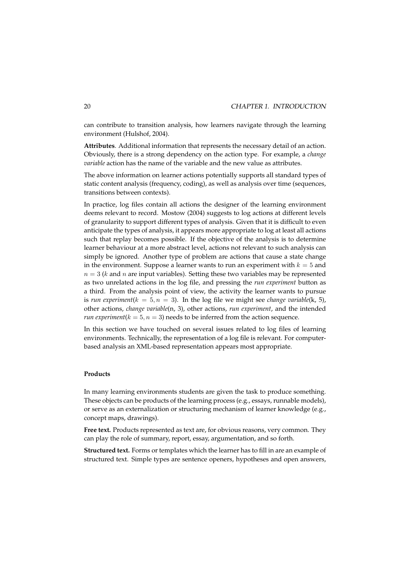can contribute to transition analysis, how learners navigate through the learning environment (Hulshof, 2004).

**Attributes**. Additional information that represents the necessary detail of an action. Obviously, there is a strong dependency on the action type. For example, a *change variable* action has the name of the variable and the new value as attributes.

The above information on learner actions potentially supports all standard types of static content analysis (frequency, coding), as well as analysis over time (sequences, transitions between contexts).

In practice, log files contain all actions the designer of the learning environment deems relevant to record. Mostow (2004) suggests to log actions at different levels of granularity to support different types of analysis. Given that it is difficult to even anticipate the types of analysis, it appears more appropriate to log at least all actions such that replay becomes possible. If the objective of the analysis is to determine learner behaviour at a more abstract level, actions not relevant to such analysis can simply be ignored. Another type of problem are actions that cause a state change in the environment. Suppose a learner wants to run an experiment with  $k = 5$  and  $n = 3$  ( $k$  and  $n$  are input variables). Setting these two variables may be represented as two unrelated actions in the log file, and pressing the *run experiment* button as a third. From the analysis point of view, the activity the learner wants to pursue is *run experiment*( $k = 5, n = 3$ ). In the log file we might see *change variable*( $k, 5$ ), other actions, *change variable*(n, 3), other actions, *run experiment*, and the intended *run experiment*( $k = 5, n = 3$ ) needs to be inferred from the action sequence.

In this section we have touched on several issues related to log files of learning environments. Technically, the representation of a log file is relevant. For computerbased analysis an XML-based representation appears most appropriate.

#### **Products**

In many learning environments students are given the task to produce something. These objects can be products of the learning process (e.g., essays, runnable models), or serve as an externalization or structuring mechanism of learner knowledge (e.g., concept maps, drawings).

**Free text.** Products represented as text are, for obvious reasons, very common. They can play the role of summary, report, essay, argumentation, and so forth.

**Structured text.** Forms or templates which the learner has to fill in are an example of structured text. Simple types are sentence openers, hypotheses and open answers,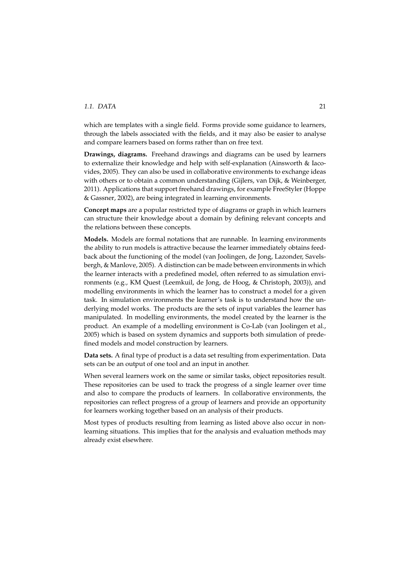#### *1.1. DATA* 21

which are templates with a single field. Forms provide some guidance to learners, through the labels associated with the fields, and it may also be easier to analyse and compare learners based on forms rather than on free text.

**Drawings, diagrams.** Freehand drawings and diagrams can be used by learners to externalize their knowledge and help with self-explanation (Ainsworth & Iacovides, 2005). They can also be used in collaborative environments to exchange ideas with others or to obtain a common understanding (Gijlers, van Dijk, & Weinberger, 2011). Applications that support freehand drawings, for example FreeStyler (Hoppe & Gassner, 2002), are being integrated in learning environments.

**Concept maps** are a popular restricted type of diagrams or graph in which learners can structure their knowledge about a domain by defining relevant concepts and the relations between these concepts.

**Models.** Models are formal notations that are runnable. In learning environments the ability to run models is attractive because the learner immediately obtains feedback about the functioning of the model (van Joolingen, de Jong, Lazonder, Savelsbergh, & Manlove, 2005). A distinction can be made between environments in which the learner interacts with a predefined model, often referred to as simulation environments (e.g., KM Quest (Leemkuil, de Jong, de Hoog, & Christoph, 2003)), and modelling environments in which the learner has to construct a model for a given task. In simulation environments the learner's task is to understand how the underlying model works. The products are the sets of input variables the learner has manipulated. In modelling environments, the model created by the learner is the product. An example of a modelling environment is Co-Lab (van Joolingen et al., 2005) which is based on system dynamics and supports both simulation of predefined models and model construction by learners.

**Data sets.** A final type of product is a data set resulting from experimentation. Data sets can be an output of one tool and an input in another.

When several learners work on the same or similar tasks, object repositories result. These repositories can be used to track the progress of a single learner over time and also to compare the products of learners. In collaborative environments, the repositories can reflect progress of a group of learners and provide an opportunity for learners working together based on an analysis of their products.

Most types of products resulting from learning as listed above also occur in nonlearning situations. This implies that for the analysis and evaluation methods may already exist elsewhere.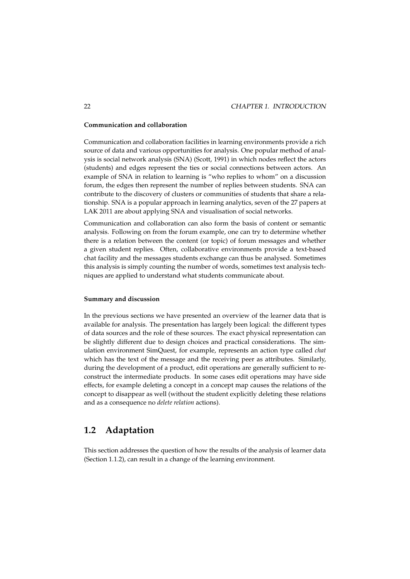#### **Communication and collaboration**

Communication and collaboration facilities in learning environments provide a rich source of data and various opportunities for analysis. One popular method of analysis is social network analysis (SNA) (Scott, 1991) in which nodes reflect the actors (students) and edges represent the ties or social connections between actors. An example of SNA in relation to learning is "who replies to whom" on a discussion forum, the edges then represent the number of replies between students. SNA can contribute to the discovery of clusters or communities of students that share a relationship. SNA is a popular approach in learning analytics, seven of the 27 papers at LAK 2011 are about applying SNA and visualisation of social networks.

Communication and collaboration can also form the basis of content or semantic analysis. Following on from the forum example, one can try to determine whether there is a relation between the content (or topic) of forum messages and whether a given student replies. Often, collaborative environments provide a text-based chat facility and the messages students exchange can thus be analysed. Sometimes this analysis is simply counting the number of words, sometimes text analysis techniques are applied to understand what students communicate about.

#### **Summary and discussion**

In the previous sections we have presented an overview of the learner data that is available for analysis. The presentation has largely been logical: the different types of data sources and the role of these sources. The exact physical representation can be slightly different due to design choices and practical considerations. The simulation environment SimQuest, for example, represents an action type called *chat* which has the text of the message and the receiving peer as attributes. Similarly, during the development of a product, edit operations are generally sufficient to reconstruct the intermediate products. In some cases edit operations may have side effects, for example deleting a concept in a concept map causes the relations of the concept to disappear as well (without the student explicitly deleting these relations and as a consequence no *delete relation* actions).

# **1.2 Adaptation**

This section addresses the question of how the results of the analysis of learner data (Section 1.1.2), can result in a change of the learning environment.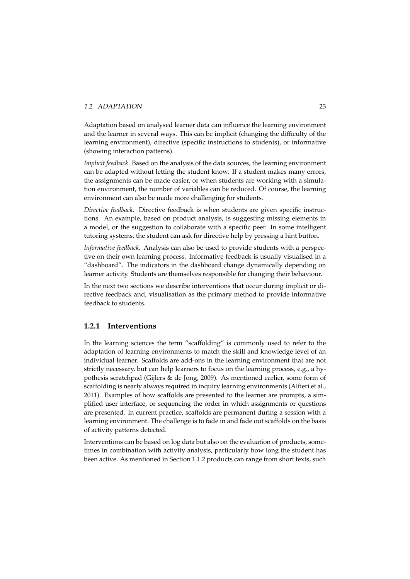#### *1.2. ADAPTATION* 23

Adaptation based on analysed learner data can influence the learning environment and the learner in several ways. This can be implicit (changing the difficulty of the learning environment), directive (specific instructions to students), or informative (showing interaction patterns).

*Implicit feedback.* Based on the analysis of the data sources, the learning environment can be adapted without letting the student know. If a student makes many errors, the assignments can be made easier, or when students are working with a simulation environment, the number of variables can be reduced. Of course, the learning environment can also be made more challenging for students.

*Directive feedback.* Directive feedback is when students are given specific instructions. An example, based on product analysis, is suggesting missing elements in a model, or the suggestion to collaborate with a specific peer. In some intelligent tutoring systems, the student can ask for directive help by pressing a hint button.

*Informative feedback.* Analysis can also be used to provide students with a perspective on their own learning process. Informative feedback is usually visualised in a "dashboard". The indicators in the dashboard change dynamically depending on learner activity. Students are themselves responsible for changing their behaviour.

In the next two sections we describe interventions that occur during implicit or directive feedback and, visualisation as the primary method to provide informative feedback to students.

# **1.2.1 Interventions**

In the learning sciences the term "scaffolding" is commonly used to refer to the adaptation of learning environments to match the skill and knowledge level of an individual learner. Scaffolds are add-ons in the learning environment that are not strictly necessary, but can help learners to focus on the learning process, e.g., a hypothesis scratchpad (Gijlers & de Jong, 2009). As mentioned earlier, some form of scaffolding is nearly always required in inquiry learning environments (Alfieri et al., 2011). Examples of how scaffolds are presented to the learner are prompts, a simplified user interface, or sequencing the order in which assignments or questions are presented. In current practice, scaffolds are permanent during a session with a learning environment. The challenge is to fade in and fade out scaffolds on the basis of activity patterns detected.

Interventions can be based on log data but also on the evaluation of products, sometimes in combination with activity analysis, particularly how long the student has been active. As mentioned in Section 1.1.2 products can range from short texts, such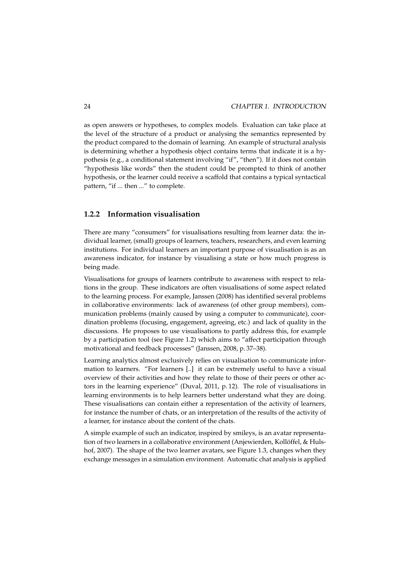as open answers or hypotheses, to complex models. Evaluation can take place at the level of the structure of a product or analysing the semantics represented by the product compared to the domain of learning. An example of structural analysis is determining whether a hypothesis object contains terms that indicate it is a hypothesis (e.g., a conditional statement involving "if", "then"). If it does not contain "hypothesis like words" then the student could be prompted to think of another hypothesis, or the learner could receive a scaffold that contains a typical syntactical pattern, "if ... then ..." to complete.

## **1.2.2 Information visualisation**

There are many "consumers" for visualisations resulting from learner data: the individual learner, (small) groups of learners, teachers, researchers, and even learning institutions. For individual learners an important purpose of visualisation is as an awareness indicator, for instance by visualising a state or how much progress is being made.

Visualisations for groups of learners contribute to awareness with respect to relations in the group. These indicators are often visualisations of some aspect related to the learning process. For example, Janssen (2008) has identified several problems in collaborative environments: lack of awareness (of other group members), communication problems (mainly caused by using a computer to communicate), coordination problems (focusing, engagement, agreeing, etc.) and lack of quality in the discussions. He proposes to use visualisations to partly address this, for example by a participation tool (see Figure 1.2) which aims to "affect participation through motivational and feedback processes" (Janssen, 2008, p. 37–38).

Learning analytics almost exclusively relies on visualisation to communicate information to learners. "For learners [..] it can be extremely useful to have a visual overview of their activities and how they relate to those of their peers or other actors in the learning experience" (Duval, 2011, p. 12). The role of visualisations in learning environments is to help learners better understand what they are doing. These visualisations can contain either a representation of the activity of learners, for instance the number of chats, or an interpretation of the results of the activity of a learner, for instance about the content of the chats.

A simple example of such an indicator, inspired by smileys, is an avatar representation of two learners in a collaborative environment (Anjewierden, Kollöffel, & Hulshof, 2007). The shape of the two learner avatars, see Figure 1.3, changes when they exchange messages in a simulation environment. Automatic chat analysis is applied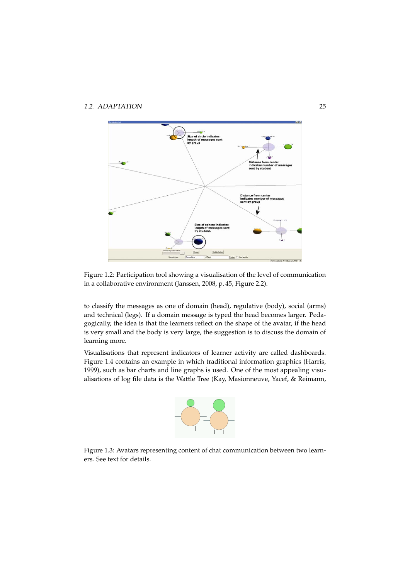

Figure 1.2: Participation tool showing a visualisation of the level of communication in a collaborative environment (Janssen, 2008, p. 45, Figure 2.2).

to classify the messages as one of domain (head), regulative (body), social (arms) and technical (legs). If a domain message is typed the head becomes larger. Pedagogically, the idea is that the learners reflect on the shape of the avatar, if the head is very small and the body is very large, the suggestion is to discuss the domain of learning more.

Visualisations that represent indicators of learner activity are called dashboards. Figure 1.4 contains an example in which traditional information graphics (Harris, 1999), such as bar charts and line graphs is used. One of the most appealing visualisations of log file data is the Wattle Tree (Kay, Masionneuve, Yacef, & Reimann,



Figure 1.3: Avatars representing content of chat communication between two learners. See text for details.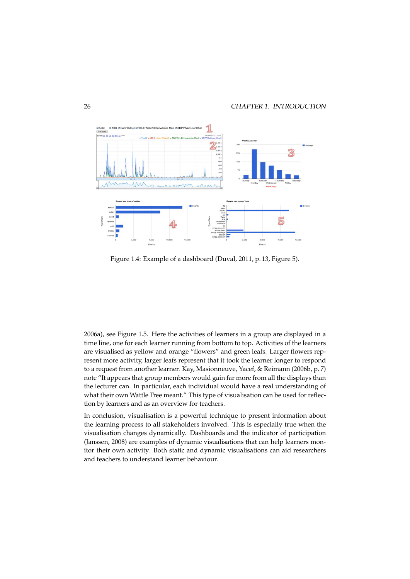

Figure 1.4: Example of a dashboard (Duval, 2011, p. 13, Figure 5).

2006a), see Figure 1.5. Here the activities of learners in a group are displayed in a time line, one for each learner running from bottom to top. Activities of the learners are visualised as yellow and orange "flowers" and green leafs. Larger flowers represent more activity, larger leafs represent that it took the learner longer to respond to a request from another learner. Kay, Masionneuve, Yacef, & Reimann (2006b, p. 7) note "It appears that group members would gain far more from all the displays than the lecturer can. In particular, each individual would have a real understanding of what their own Wattle Tree meant." This type of visualisation can be used for reflection by learners and as an overview for teachers.

In conclusion, visualisation is a powerful technique to present information about the learning process to all stakeholders involved. This is especially true when the visualisation changes dynamically. Dashboards and the indicator of participation (Janssen, 2008) are examples of dynamic visualisations that can help learners monitor their own activity. Both static and dynamic visualisations can aid researchers and teachers to understand learner behaviour.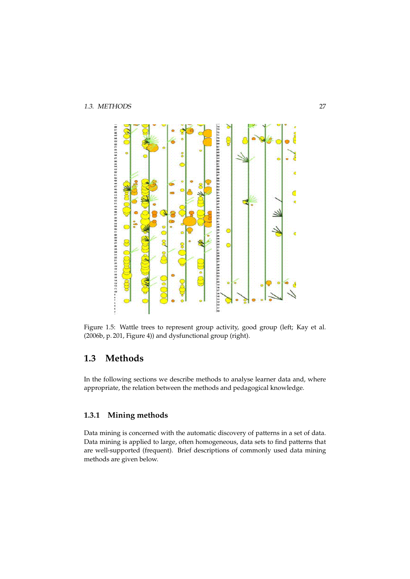

Figure 1.5: Wattle trees to represent group activity, good group (left; Kay et al. (2006b, p. 201, Figure 4)) and dysfunctional group (right).

# **1.3 Methods**

In the following sections we describe methods to analyse learner data and, where appropriate, the relation between the methods and pedagogical knowledge.

# **1.3.1 Mining methods**

Data mining is concerned with the automatic discovery of patterns in a set of data. Data mining is applied to large, often homogeneous, data sets to find patterns that are well-supported (frequent). Brief descriptions of commonly used data mining methods are given below.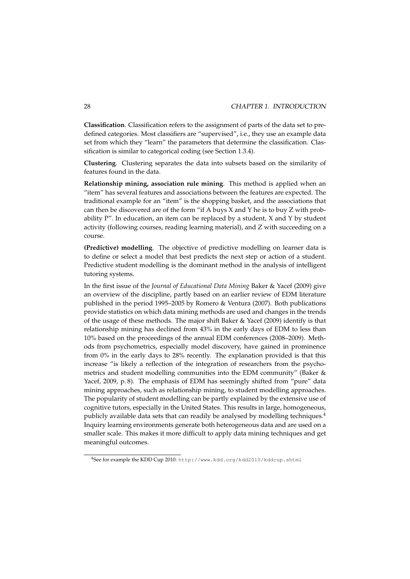**Classification**. Classification refers to the assignment of parts of the data set to predefined categories. Most classifiers are "supervised", i.e., they use an example data set from which they "learn" the parameters that determine the classification. Classification is similar to categorical coding (see Section 1.3.4).

**Clustering**. Clustering separates the data into subsets based on the similarity of features found in the data.

**Relationship mining, association rule mining**. This method is applied when an "item" has several features and associations between the features are expected. The traditional example for an "item" is the shopping basket, and the associations that can then be discovered are of the form "if A buys X and Y he is to buy Z with probability  $P''$ . In education, an item can be replaced by a student, X and Y by student activity (following courses, reading learning material), and Z with succeeding on a course.

**(Predictive) modelling**. The objective of predictive modelling on learner data is to define or select a model that best predicts the next step or action of a student. Predictive student modelling is the dominant method in the analysis of intelligent tutoring systems.

In the first issue of the *Journal of Educational Data Mining* Baker & Yacef (2009) give an overview of the discipline, partly based on an earlier review of EDM literature published in the period 1995–2005 by Romero & Ventura (2007). Both publications provide statistics on which data mining methods are used and changes in the trends of the usage of these methods. The major shift Baker & Yacef (2009) identify is that relationship mining has declined from 43% in the early days of EDM to less than 10% based on the proceedings of the annual EDM conferences (2008–2009). Methods from psychometrics, especially model discovery, have gained in prominence from 0% in the early days to 28% recently. The explanation provided is that this increase "is likely a reflection of the integration of researchers from the psychometrics and student modelling communities into the EDM community" (Baker & Yacef, 2009, p.8). The emphasis of EDM has seemingly shifted from "pure" data mining approaches, such as relationship mining, to student modelling approaches. The popularity of student modelling can be partly explained by the extensive use of cognitive tutors, especially in the United States. This results in large, homogeneous, publicly available data sets that can readily be analysed by modelling techniques.<sup>4</sup> Inquiry learning environments generate both heterogeneous data and are used on a smaller scale. This makes it more difficult to apply data mining techniques and get meaningful outcomes.

<sup>4</sup>See for example the KDD Cup 2010: http://www.kdd.org/kdd2010/kddcup.shtml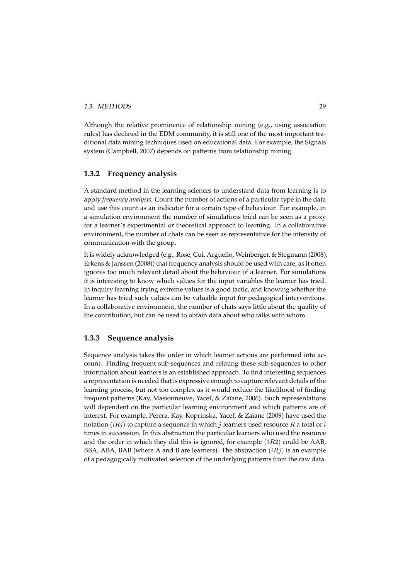#### *1.3. METHODS* 29

Although the relative prominence of relationship mining (e.g., using association rules) has declined in the EDM community, it is still one of the most important traditional data mining techniques used on educational data. For example, the Signals system (Campbell, 2007) depends on patterns from relationship mining.

## **1.3.2 Frequency analysis**

A standard method in the learning sciences to understand data from learning is to apply *frequency analysis*. Count the number of actions of a particular type in the data and use this count as an indicator for a certain type of behaviour. For example, in a simulation environment the number of simulations tried can be seen as a proxy for a learner's experimental or theoretical approach to learning. In a collaborative environment, the number of chats can be seen as representative for the intensity of communication with the group.

It is widely acknowledged (e.g., Rosé, Cui, Arguello, Weinberger, & Stegmann (2008); Erkens & Janssen (2008)) that frequency analysis should be used with care, as it often ignores too much relevant detail about the behaviour of a learner. For simulations it is interesting to know which values for the input variables the learner has tried. In inquiry learning trying extreme values is a good tactic, and knowing whether the learner has tried such values can be valuable input for pedagogical interventions. In a collaborative environment, the number of chats says little about the quality of the contribution, but can be used to obtain data about who talks with whom.

## **1.3.3 Sequence analysis**

Sequence analysis takes the order in which learner actions are performed into account. Finding frequent sub-sequences and relating these sub-sequences to other information about learners is an established approach. To find interesting sequences a representation is needed that is expressive enough to capture relevant details of the learning process, but not too complex as it would reduce the likelihood of finding frequent patterns (Kay, Masionneuve, Yacef, & Za¨ıane, 2006). Such representations will dependent on the particular learning environment and which patterns are of interest. For example, Perera, Kay, Koprinska, Yacef, & Zaïane (2009) have used the notation (*iRj*) to capture a sequence in which *j* learners used resource *R* a total of *i* times in succession. In this abstraction the particular learners who used the resource and the order in which they did this is ignored, for example (3*R*2) could be AAB, BBA, ABA, BAB (where A and B are learners). The abstraction (*iRj*) is an example of a pedagogically motivated selection of the underlying patterns from the raw data.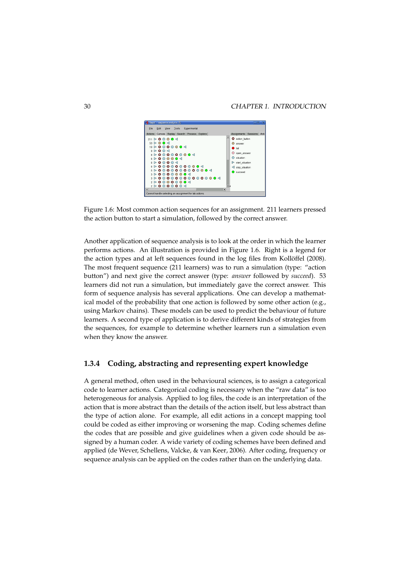

Figure 1.6: Most common action sequences for an assignment. 211 learners pressed the action button to start a simulation, followed by the correct answer.

Another application of sequence analysis is to look at the order in which the learner performs actions. An illustration is provided in Figure 1.6. Right is a legend for the action types and at left sequences found in the log files from Kollöffel (2008). The most frequent sequence (211 learners) was to run a simulation (type: "action button") and next give the correct answer (type: *answer* followed by *succeed*). 53 learners did not run a simulation, but immediately gave the correct answer. This form of sequence analysis has several applications. One can develop a mathematical model of the probability that one action is followed by some other action (e.g., using Markov chains). These models can be used to predict the behaviour of future learners. A second type of application is to derive different kinds of strategies from the sequences, for example to determine whether learners run a simulation even when they know the answer.

### **1.3.4 Coding, abstracting and representing expert knowledge**

A general method, often used in the behavioural sciences, is to assign a categorical code to learner actions. Categorical coding is necessary when the "raw data" is too heterogeneous for analysis. Applied to log files, the code is an interpretation of the action that is more abstract than the details of the action itself, but less abstract than the type of action alone. For example, all edit actions in a concept mapping tool could be coded as either improving or worsening the map. Coding schemes define the codes that are possible and give guidelines when a given code should be assigned by a human coder. A wide variety of coding schemes have been defined and applied (de Wever, Schellens, Valcke, & van Keer, 2006). After coding, frequency or sequence analysis can be applied on the codes rather than on the underlying data.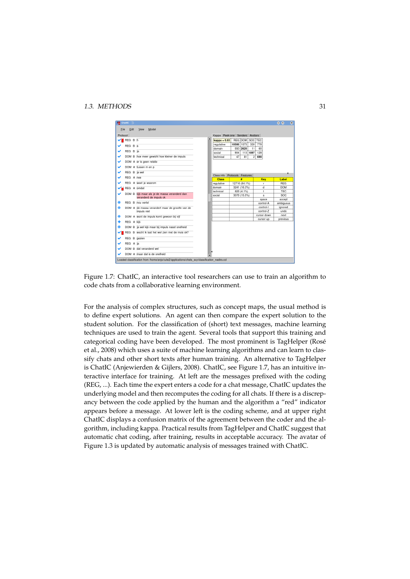#### *1.3. METHODS* 31



Figure 1.7: ChatIC, an interactive tool researchers can use to train an algorithm to code chats from a collaborative learning environment.

For the analysis of complex structures, such as concept maps, the usual method is to define expert solutions. An agent can then compare the expert solution to the student solution. For the classification of (short) text messages, machine learning techniques are used to train the agent. Several tools that support this training and categorical coding have been developed. The most prominent is TagHelper (Rosé et al., 2008) which uses a suite of machine learning algorithms and can learn to classify chats and other short texts after human training. An alternative to TagHelper is ChatIC (Anjewierden & Gijlers, 2008). ChatIC, see Figure 1.7, has an intuitive interactive interface for training. At left are the messages prefixed with the coding (REG, ...). Each time the expert enters a code for a chat message, ChatIC updates the underlying model and then recomputes the coding for all chats. If there is a discrepancy between the code applied by the human and the algorithm a "red" indicator appears before a message. At lower left is the coding scheme, and at upper right ChatIC displays a confusion matrix of the agreement between the coder and the algorithm, including kappa. Practical results from TagHelper and ChatIC suggest that automatic chat coding, after training, results in acceptable accuracy. The avatar of Figure 1.3 is updated by automatic analysis of messages trained with ChatIC.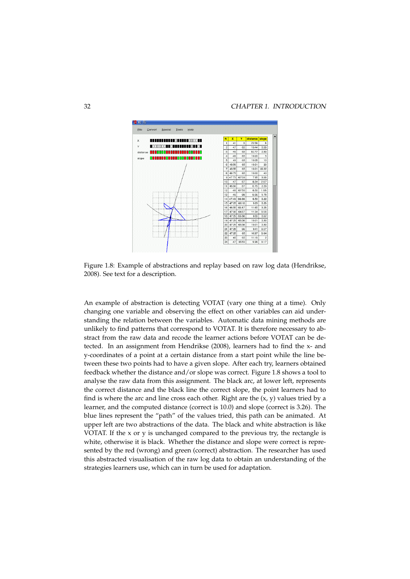

Figure 1.8: Example of abstractions and replay based on raw log data (Hendrikse, 2008). See text for a description.

An example of abstraction is detecting VOTAT (vary one thing at a time). Only changing one variable and observing the effect on other variables can aid understanding the relation between the variables. Automatic data mining methods are unlikely to find patterns that correspond to VOTAT. It is therefore necessary to abstract from the raw data and recode the learner actions before VOTAT can be detected. In an assignment from Hendrikse (2008), learners had to find the x- and y-coordinates of a point at a certain distance from a start point while the line between these two points had to have a given slope. After each try, learners obtained feedback whether the distance and/or slope was correct. Figure 1.8 shows a tool to analyse the raw data from this assignment. The black arc, at lower left, represents the correct distance and the black line the correct slope, the point learners had to find is where the arc and line cross each other. Right are the  $(x, y)$  values tried by a learner, and the computed distance (correct is 10.0) and slope (correct is 3.26). The blue lines represent the "path" of the values tried, this path can be animated. At upper left are two abstractions of the data. The black and white abstraction is like VOTAT. If the  $x$  or  $y$  is unchanged compared to the previous try, the rectangle is white, otherwise it is black. Whether the distance and slope were correct is represented by the red (wrong) and green (correct) abstraction. The researcher has used this abstracted visualisation of the raw log data to obtain an understanding of the strategies learners use, which can in turn be used for adaptation.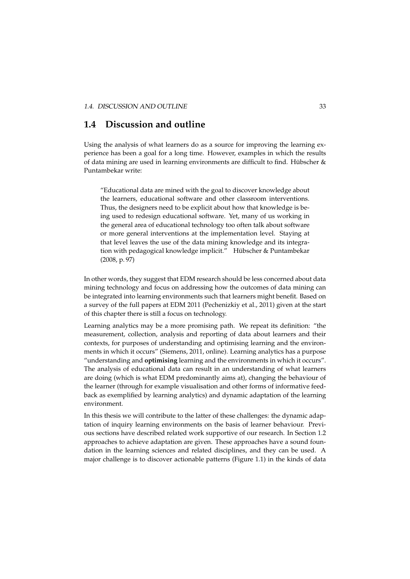# **1.4 Discussion and outline**

Using the analysis of what learners do as a source for improving the learning experience has been a goal for a long time. However, examples in which the results of data mining are used in learning environments are difficult to find. Hübscher  $\&$ Puntambekar write:

"Educational data are mined with the goal to discover knowledge about the learners, educational software and other classroom interventions. Thus, the designers need to be explicit about how that knowledge is being used to redesign educational software. Yet, many of us working in the general area of educational technology too often talk about software or more general interventions at the implementation level. Staying at that level leaves the use of the data mining knowledge and its integration with pedagogical knowledge implicit." Hübscher & Puntambekar (2008, p. 97)

In other words, they suggest that EDM research should be less concerned about data mining technology and focus on addressing how the outcomes of data mining can be integrated into learning environments such that learners might benefit. Based on a survey of the full papers at EDM 2011 (Pechenizkiy et al., 2011) given at the start of this chapter there is still a focus on technology.

Learning analytics may be a more promising path. We repeat its definition: "the measurement, collection, analysis and reporting of data about learners and their contexts, for purposes of understanding and optimising learning and the environments in which it occurs" (Siemens, 2011, online). Learning analytics has a purpose "understanding and **optimising** learning and the environments in which it occurs". The analysis of educational data can result in an understanding of what learners are doing (which is what EDM predominantly aims at), changing the behaviour of the learner (through for example visualisation and other forms of informative feedback as exemplified by learning analytics) and dynamic adaptation of the learning environment.

In this thesis we will contribute to the latter of these challenges: the dynamic adaptation of inquiry learning environments on the basis of learner behaviour. Previous sections have described related work supportive of our research. In Section 1.2 approaches to achieve adaptation are given. These approaches have a sound foundation in the learning sciences and related disciplines, and they can be used. A major challenge is to discover actionable patterns (Figure 1.1) in the kinds of data